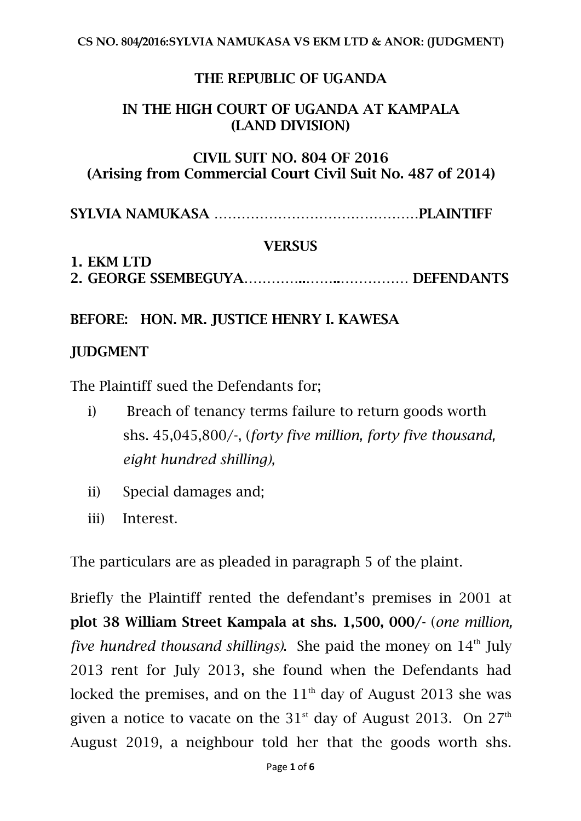## THE REPUBLIC OF UGANDA

## IN THE HIGH COURT OF UGANDA AT KAMPALA (LAND DIVISION)

## CIVIL SUIT NO. 804 OF 2016 (Arising from Commercial Court Civil Suit No. 487 of 2014)

SYLVIA NAMUKASA ………………………………………PLAINTIFF

#### **VERSUS**

#### 1. EKM LTD 2. GEORGE SSEMBEGUYA…………..……..…………… DEFENDANTS

#### BEFORE: HON. MR. JUSTICE HENRY I. KAWESA

#### JUDGMENT

The Plaintiff sued the Defendants for;

- i) Breach of tenancy terms failure to return goods worth shs. 45,045,800/-, (*forty five million, forty five thousand, eight hundred shilling),*
- ii) Special damages and;
- iii) Interest.

The particulars are as pleaded in paragraph 5 of the plaint.<br>Briefly the Plaintiff rented the defendant's premises in 2001 at

plot 38 William Street Kampala at shs.1,500, 000/- (*one million, five hundred thousand shillings)*. She paid the money on 14 th July 2013 rent for July 2013, she found when the Defendants had locked the premises, and on the  $11^{\text{th}}$  day of August 2013 she was given a notice to vacate on the  $31^{\text{st}}$  day of August 2013. On  $27^{\text{th}}$ August 2019, a neighbour told her that the goods worth shs.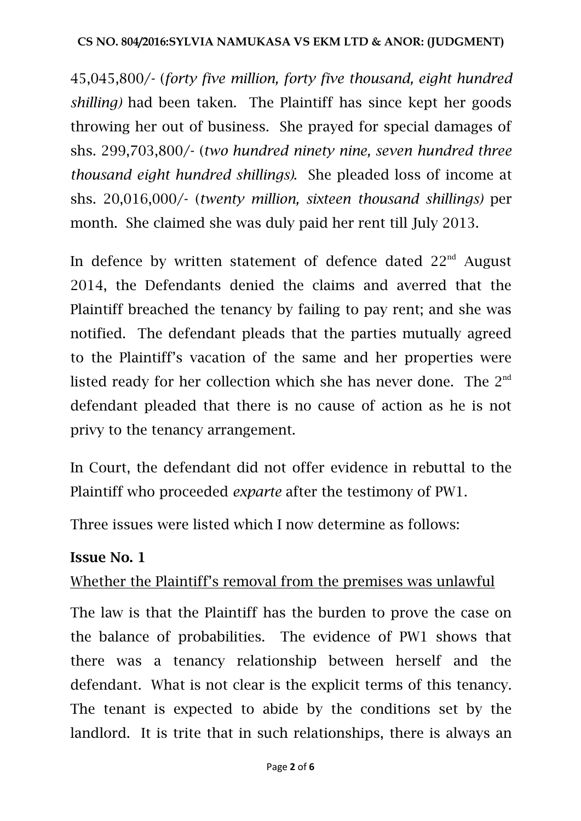#### **CS NO. 804/2016:SYLVIA NAMUKASA VS EKM LTD & ANOR: (JUDGMENT)**

45,045,800/- (*forty five million, forty five thousand, eight hundred shilling*) had been taken. The Plaintiff has since kept her goods throwing her out of business. She prayed for special damages of shs. 299,703,800/- (*two hundred ninety nine, seven hundred three thousand eight hundred shillings)*. She pleaded loss of income at shs. 20,016,000/- (*twenty million, sixteen thousand shillings)* per month. She claimed she was duly paid her rent till July 2013.

In defence by written statement of defence dated  $22^{\text{nd}}$  August 2014, the Defendants denied the claims and averred that the Plaintiff breached the tenancy by failing to pay rent; and she was notified. The defendant pleads that the parties mutually agreed to the Plaintiff's vacation of the same and her properties were listed ready for her collection which she has never done. The  $2^{nd}$ defendant pleaded that there is no cause of action as he is not privy to the tenancy arrangement.

In Court, the defendant did not offer evidence in rebuttal to the Plaintiff who proceeded *exparte* after the testimony of PW1.

Three issues were listed which I now determine as follows:

## Issue No. 1

## Whether the Plaintiff's removal from the premises was unlawful

The law is that the Plaintiff has the burden to prove the case on the balance of probabilities. The evidence of PW1 shows that there was a tenancy relationship between herself and the defendant. What is not clear is the explicit terms of this tenancy. The tenant is expected to abide by the conditions set by the landlord. It is trite that in such relationships, there is always an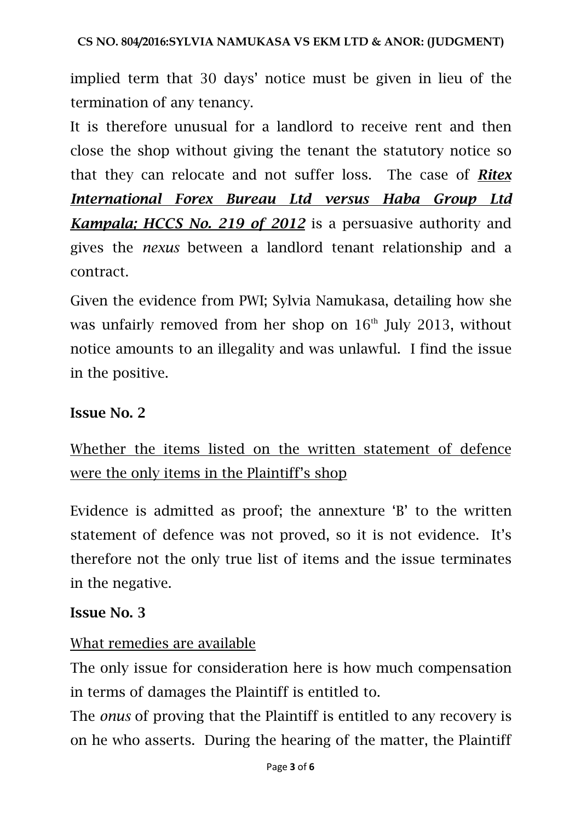implied term that 30 days' notice must be given in lieu of the termination of any tenancy.

It is therefore unusual for a landlord to receive rent and then close the shop without giving the tenant the statutory notice so that they can relocate and not suffer loss. The case of *Ritex International Forex Bureau Ltd versus Haba Group Ltd Kampala; HCCS No. 219 of 2012* is a persuasive authority and gives the *nexus* between a landlord tenant relationship and a contract.

Given the evidence from PWI; Sylvia Namukasa, detailing how she was unfairly removed from her shop on  $16<sup>th</sup>$  July 2013, without notice amounts to an illegality and was unlawful. I find the issue in the positive.

# Issue No. 2

# Whether the items listed on the written statement of defence were the only items in the Plaintiff's shop

Evidence is admitted as proof; the annexture 'B' to the written statement of defence was not proved, so it is not evidence. It's therefore not the only true list of items and the issue terminates in the negative.

## Issue No. 3

# What remedies are available

The only issue for consideration here is how much compensation in terms of damages the Plaintiff is entitled to.

The *onus* of proving that the Plaintiff is entitled to any recovery is on he who asserts. During the hearing of the matter, the Plaintiff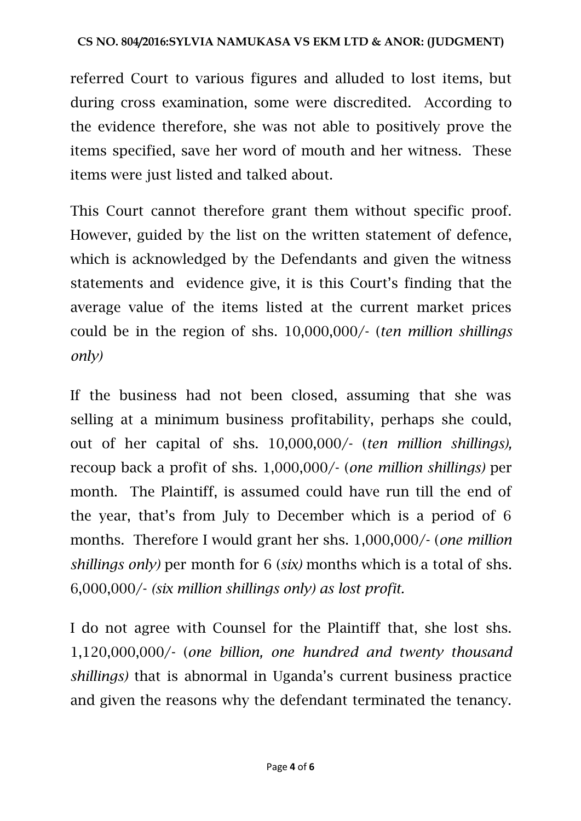referred Court to various figures and alluded to lost items, but during cross examination, some were discredited. According to the evidence therefore, she was not able to positively prove the items specified, save her word of mouth and her witness. These items were just listed and talked about.

This Court cannot therefore grant them without specific proof. However, guided by the list on the written statement of defence, which is acknowledged by the Defendants and given the witness statements and evidence give, it is this Court's finding that the average value of the items listed at the current market prices could be in the region of shs. 10,000,000/- (*ten million shillings only)*

If the business had not been closed, assuming that she was selling at a minimum business profitability, perhaps she could, out of her capital of shs.10,000,000/- (*ten million shillings),* recoup back a profit of shs. 1,000,000/- (*one million shillings)* per month. The Plaintiff, is assumed could have run till the end of the year, that's from July to December which is a period of 6 months. Therefore I would grant her shs. 1,000,000/- (*one million shillings only)* per month for 6 (*six)* months which is a total of shs. 6,000,000/- *(six million shillings only) as lost profit.*

<sup>I</sup> do not agree with Counsel for the Plaintiff that, she lost shs.1,120,000,000/- (*one billion, one hundred and twenty thousand shillings)* that is abnormal in Uganda's current business practice and given the reasons why the defendant terminated the tenancy.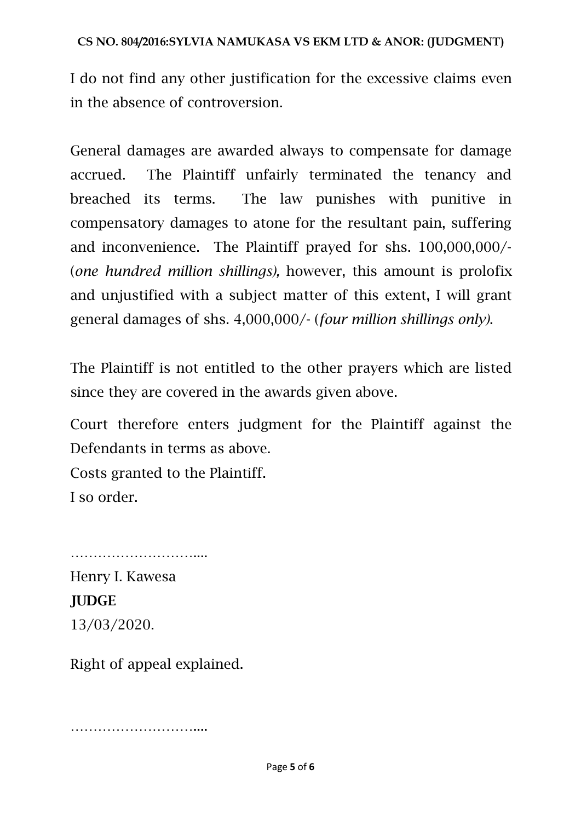#### **CS NO. 804/2016:SYLVIA NAMUKASA VS EKM LTD & ANOR: (JUDGMENT)**

I do not find any other justification for the excessive claims even in the absence of controversion.

General damages are awarded always to compensate for damage accrued. The Plaintiff unfairly terminated the tenancy and breached its terms. The law punishes with punitive in compensatory damages to atone for the resultant pain, suffering and inconvenience. The Plaintiff prayed for shs. 100,000,000/- (*one hundred million shillings),* however, this amount is prolofix and unjustified with a subject matter of this extent, I will grant general damages of shs. 4,000,000/- (*four million shillings only)*.

The Plaintiff is not entitled to the other prayers which are listed since they are covered in the awards given above.

Court therefore enters judgment for the Plaintiff against the Defendants in terms as above.

Costs granted to the Plaintiff. I so order.

Henry I. Kawesa JUDGE 13/03/2020.

…………………………………………

Right of appeal explained.

…………………………………